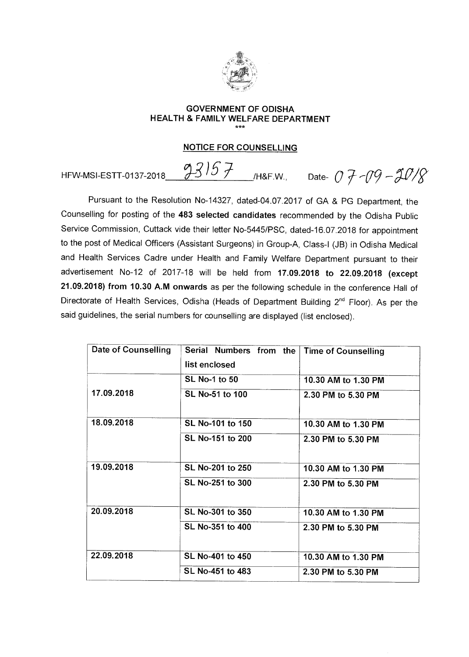

## **GOVERNMENT OF ODISHA HEALTH & FAMILY WELFARE DEPARTMENT**

### **NOTICE FOR COUNSELLING**

HFW-MSI-ESTT-0137-2018 **93/57** H&F.W., Date- 0 7-09 -90/8

Pursuant to the Resolution No-14327, dated-04.07.2017 of GA & PG Department, the Counselling for posting of the **483 selected candidates** recommended by the Odisha Public Service Commission, Cuttack vide their letter No-5445/PSC, dated-16.07.2018 for appointment to the post of Medical Officers (Assistant Surgeons) in Group-A, Class-I (JB) in Odisha Medical and Health Services Cadre under Health and Family Welfare Department pursuant to their advertisement No-12 of 2017-18 will be held from **17.09.2018 to 22.09.2018 (except 21.09.2018) from 10.30 A.M onwards** as per the following schedule in the conference Hall of Directorate of Health Services, Odisha (Heads of Department Building 2<sup>nd</sup> Floor). As per the said guidelines, the serial numbers for counselling are displayed (list enclosed).

| Date of Counselling | Serial Numbers from the<br>list enclosed | <b>Time of Counselling</b> |
|---------------------|------------------------------------------|----------------------------|
|                     | <b>SL No-1 to 50</b>                     | 10.30 AM to 1.30 PM        |
| 17.09.2018          | SL No-51 to 100                          | 2.30 PM to 5.30 PM         |
| 18.09.2018          | SL No-101 to 150                         | 10.30 AM to 1.30 PM        |
|                     | SL No-151 to 200                         | 2.30 PM to 5.30 PM         |
| 19.09.2018          | SL No-201 to 250                         | 10.30 AM to 1.30 PM        |
|                     | SL No-251 to 300                         | 2.30 PM to 5.30 PM         |
| 20.09.2018          | SL No-301 to 350                         | 10.30 AM to 1.30 PM        |
|                     | SL No-351 to 400                         | 2.30 PM to 5.30 PM         |
| 22.09.2018          | SL No-401 to 450                         | 10.30 AM to 1.30 PM        |
|                     | SL No-451 to 483                         | 2.30 PM to 5.30 PM         |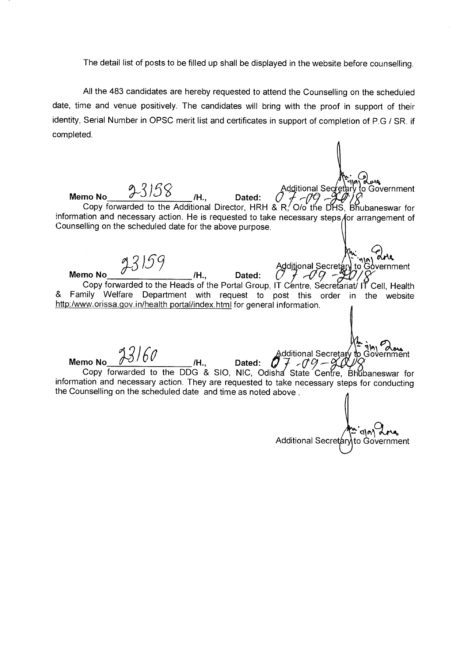The detail list of posts to be filled up shall be displayed in the website before counselling.

All the 483 candidates are hereby requested to attend the Counselling on the scheduled date, time and venue positively. The candidates will bring with the proof in support of their identity, Serial Number in OPSC merit list and certificates in support of completion of P.G / SR. if completed.

 $158$  H. Dated: Additional Secretary to G **Memo No**  "L**3 /H., Dated:** ,- to Government Copy forwarded to the Additional Director, HRH & R, O/o the DHS, Bhubaneswar for information and necessary action. He is requested to take necessary steps for arrangement of Counselling on the scheduled date for the above purpose. no No\_\_\_\_\_\_\_\_\_\_\_\_\_\_\_\_\_\_\_\_\_/H., Dated: (*) )\_\_\_\_\_\_\_\_\_\_\_\_\_\_\_\_\_\_\_\_\_\_\_\_\_\_\_\_\_\_\_\_\_*<br>Copy forwarded to the Heads of the Portal Group, IT Centre, Secretariat/ IT Cell, Health & Family Welfare Department with request to post this order in the website http:/www.orissa.gov.in/health portal/index.html for general information. Additional Secretary to Government<br>I., Dated:  $\left(\overline{U} + \overline{U}G - \overline{X}U\right)/\overline{X}$ **Memo No /H., Dated:** c/ 7 "a?  $-09 - 8$ nment **Memo No**  $\sqrt{27/V}$  /H., Dated: Additional Secretar⁄ Copy forwarded to the DDG & SIO, NIC, Odisha State Centre, Bhubaneswar for information and necessary action. They are requested to take necessary steps for conducting the Counselling on the scheduled date and time as noted above . 010)) Additional Secretary to Government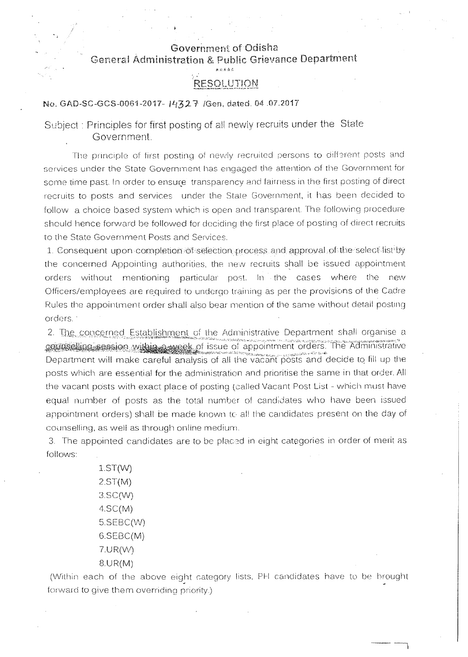## Government of Odisha General Administration & Public Grievance Department

الحمامية المحاسبة

# **RESOLUTION**

No. GAD-SC-GCS-0061-2017- 1432 7 / Gen, dated. 04.07.2017

Subject : Principles for first posting of all newly recruits under the State Government.

The principle of first posting of newly recruited persons to different posts and services under the State Government has engaged the attention of the Government for some time past. In order to ensure transparency and fairness in the first posting of direct recruits to posts and services under the State Government, it has been decided to follow a choice based system which is open and transparent. The following procedure should hence forward be followed for deciding the first place of posting of direct recruits to the State Government Posts and Services.

1. Consequent upon completion of selection process and approval of the select list by the concerned Appointing authorities, the new recruits shall be issued appointment orders without mentioning particular post. In • the cases where the new Officers/employees are required to undergo training as per the provisions of the Cadre Rules the appointment order shall also bear mention of the same without detail posting orders.

2. The concerned Establishment of the Administrative Department shall organise a counselling session within a week of issue of appointment orders. The Administrative Department will make careful analysis of all the vacant posts and decide to fill up the posts which are essential for the administration and prioritise the same in that order. All the vacant posts with exact place of posting (called Vacant Post List - which must have equal number of posts as the total number of candidates who have been issued appointment orders) shall be made known to all the candidates present on the day of counselling, as well as through online medium\_

3. The appointed candidates are to be placed in eight categories in order of merit as follows:

> 1.5T(W) 2,ST(M) 3.SC(W) 4.SC(M) 5.SEBC(W) 6.SEBC(M) 7.1.JR(W) 8.UR(M)

(Within each of the above eight category lists, PH candidates have to be brought forward to give them overriding priority.)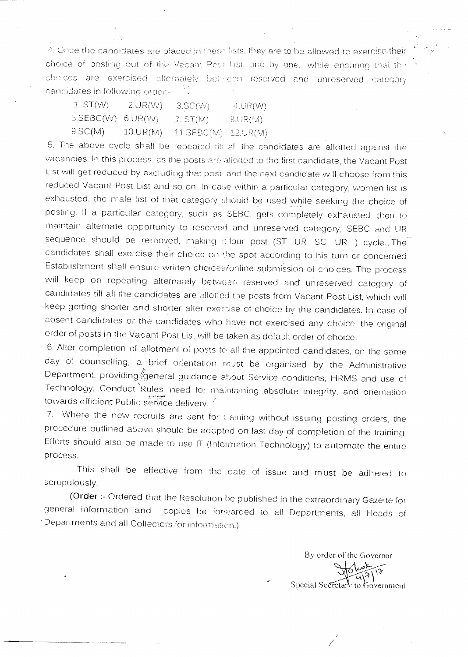4. Once the candidates are placed in these lists, they are to be allowed to exercise, their choice of posting out of the Vacant Post List one by one, while ensuring that the choices are exercised alternately beinreen reserved and unreserved category candidates in following order-

| 1. ST(W)   | 2.UR(W)  | $3.$ SC $(W)$            | 4.0R(W) |
|------------|----------|--------------------------|---------|
| 5.SEBC(W). | 6.UR(W)  | $\langle$ $\angle$ ST(M) | (MA)    |
| 9.SC(M).   | 10.UR(M) | $11.SEBC(M)$ 12.UR(M)    |         |

5. The above cycle shall be repeated tih all the candidates are allotted against the vacancies. In this process, as the posts are allotted to the first candidate, the Vacant Post List will get reduced by excluding that post and the next candidate will choose from this reduced-Vacant Post List and so on. In case within a particular category, women list is exhausted, the male list of that category should be used while seeking the choice of posting. If a particular category, such as SEBC, gets completely exhausted, then to maintain alternate opportunity to reserved and unreserved category. SEBC and UR sequence should be removed, making it four post (ST UR SC UR ) cycle. The candidates shall exercise their choice on the spot according to his turn or concerned Establishment shall ensure written choices/online submission of choices. The process will keep on repeating alternately between reserved and unreserved category of candidates till all the candidates are allotted the posts from Vacant Post List, which will keep getting shorter and shorter after exercise of choice by the candidates. In case of absent candidates or the candidates who have not exercised any choice, the original order of posts in the Vacant Post List will be taken as default order of choice.

6. After completion of allotment of posts to all the appointed candidates, on the same day of counselling, a brief orientation must be organised by the Administrative Department, providing General guidance about Service conditions, HRMS and use of Technology, Conduct Rules, need for maintaining absolute integrity, and orientation towards efficient Public service delivery.

7. Where the new recruits are sent for caining without issuing posting orders, the procedure outlined above should be adopted on last day of completion of the training. Efforts should also be made to use IT (Information Technology) to automate the entire process.

This shall be effective from the date of issue and must be adhered to scrupulously.

(Order :- Ordered that the Resolution he published in the extraordinary Gazette for general information and copies he forwarded to all Departments, all Heads of Departments and all Collectors for informatidn.)

By order of the Governor  $\frac{1}{\sqrt{2}}$ Special Secretary to Government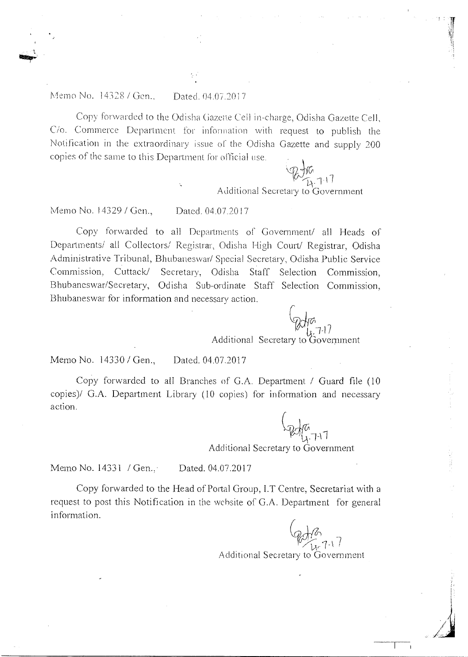#### Memo No. 14328 / Gen.. Dated. 04.07.2017

Copy forwarded to the Odisha Gazette Cell in-charge, Odisha Gazette Cell, C/o. Commerce Department for information with request to publish the Notification in the extraordinary issue of the Odisha Gazette and supply 200 copies of the same to this Department for official use.

Additional Secretary to Government

Memo No. 14329 / Gen., Dated. 04.07.2017

Copy forwarded to all Departments of Government/ all Heads of Departments/ all Collectors/ Registrar, Odisha High Court/ Registrar, Odisha Administrative Tribunal, Bhubaneswar/ Special Secretary, Odisha Public Service Commission, Cuttack/ Secretary, Odisha Staff Selection Commission, Bhubaneswar/Secretary, Odisha Sub-ordinate Staff Selection Commission, Bhubaneswar for information and necessary action.

Additional Secretary to Government

*C* 

Memo No. 14330 / Gen., Dated. 04.07.2017

Copy forwarded to all Branches of G.A. Department / Guard file (10 copies)/ G.A. Department Library (10 copies) for information and necessary action.

Additional Secretary to Government

Memo No. 14331 / Gen., Dated. 04.07.2017

Copy forwarded to the Head of Portal Group, 1.T Centre, Secretariat with a request to post this Notification in the website of G.A. Department for general information.

 $\downarrow$ Additional Secretary to Government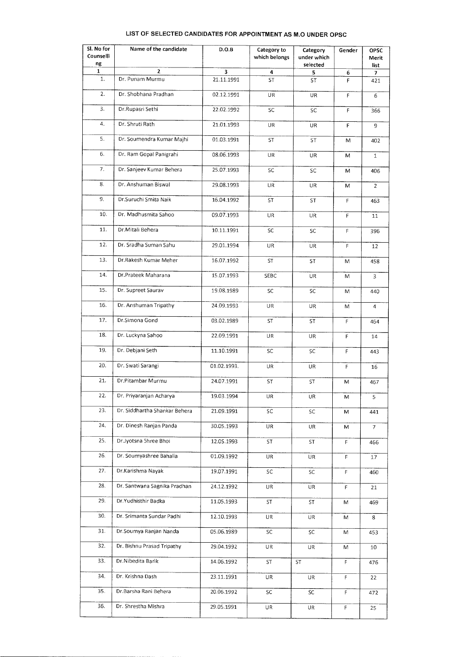### **LIST OF SELECTED CANDIDATES FOR APPOINTMENT AS M.0 UNDER OPSC**

| Sl. No for<br>Counselli | Name of the candidate         | D.O.B       | Category to<br>which belongs | Category<br>under which | Gender | <b>OPSC</b><br>Merit |
|-------------------------|-------------------------------|-------------|------------------------------|-------------------------|--------|----------------------|
| ng<br>1                 | $\mathbf{z}$                  | 3           | 4                            | selected                |        | list                 |
| 1.                      | Dr. Punam Murmu               | 21.11.1991  | ST                           | 5<br>ST                 | 6<br>F | 7<br>421             |
| 2.                      | Dr. Shobhana Pradhan          | 02.12.1991  | UR                           | UR                      | F      | 6                    |
| 3.                      | Dr.Rupasri Sethi              | 22.02.1992  | SC                           | SC                      | F      | 366                  |
| 4.                      | Dr. Shruti Rath               | 21.01.1993  | UR                           | UR                      | F      | 9                    |
| 5.                      | Dr. Soumendra Kumar Majhi     | 01.03.1991  | ST                           | ST                      | M      | 402                  |
| 6.                      | Dr. Ram Gopal Panigrahi       | 08.06.1993  | UR                           | UR                      | M      | $1\,$                |
| 7.                      | Dr. Sanjeev Kumar Behera      | 25.07.1993  | SC                           | SC                      | M      | 406                  |
| 8.                      | Dr. Anshuman Biswal           | 29.08.1993  | UR                           | UR                      | M      | $\overline{2}$       |
| 9.                      | Dr.Suruchi Smita Naik         | 16.04.1992  | ST                           | <b>ST</b>               | F      | 463                  |
| 10.                     | Dr. Madhusmita Sahoo          | 09.07.1993  | UR                           | UR                      | F      | 11                   |
| 11.                     | Dr.Mitali Behera              | 10.11.1991  | SC                           | SC                      | F      | 396                  |
| 12.                     | Dr. Sradha Suman Sahu         | 29.01.1994  | UR                           | UR                      | F      | 12                   |
| 13.                     | Dr.Rakesh Kumar Meher         | 16.07.1992  | <b>ST</b>                    | ST                      | M      | 458                  |
| 14.                     | Dr.Prateek Maharana           | 15.07.1993  | SEBC                         | UR                      | M      | 3                    |
| 15.                     | Dr. Supreet Saurav            | 19.08.1989  | SC                           | SC                      | M      | 440                  |
| 16.                     | Dr. Anshuman Tripathy         | 24.09.1993  | UR                           | UR                      | M      | $\overline{4}$       |
| 17.                     | Dr.Simona Gond                | 03.02.1989  | ST                           | ST                      | F      | 464                  |
| 18.                     | Dr. Luckyna Sahoo             | 22.09.1991  | UR                           | UR                      | F      | 14                   |
| 19.                     | Dr. Debjani Seth              | 11.10.1991  | SC                           | SC                      | F      | 443                  |
| 20.                     | Dr. Swati Sarangi             | 01.02.1993. | UR                           | UR                      | F      | 16                   |
| 21.                     | Dr.Pitambar Murmu             | 24.07.1991  | ST                           | ST                      | М      | 467                  |
| 22.                     | Dr. Priyaranjan Acharya       | 19.03.1994  | UR                           | UR                      | М      | $\mathsf S$          |
| 23.                     | Dr. Siddhartha Shankar Behera | 21.09.1991  | SC                           | SC                      | M      | 441                  |
| 24.                     | Dr. Dinesh Ranjan Panda       | 30.05.1993  | UR                           | UR.                     | М      | 7                    |
| 25.                     | Dr.Jyotsna 5hree Bhoi         | 12.05.1993  | ST                           | ST                      | F.     | 466                  |
| 26.                     | Dr. Soumyashree Bahalia       | 01.09.1992  | UR                           | UR                      | F      | 17                   |
| 27.                     | Dr.Karishma Nayak             | 19.07.1991  | SC                           | SC                      | F      | 460                  |
| 28.                     | Dr. Santwana Sagnika Pradhan  | 24.12.1992  | <b>UR</b>                    | UR.                     | F      | 21                   |
| 29.                     | Dr.Yudhisthir Badka           | 11.05.1993  | ST                           | ST                      | M      | 469                  |
| 30.                     | Dr. Srimanta Sundar Padhi     | 12.10.1993  | UR                           | UR                      | M      | 8                    |
| 31.                     | Dr.Soumya Ranjan Nanda        | 05.06.1989  | SC                           | SC                      | М      | 453                  |
| 32.                     | Dr. Bishnu Prasad Tripathy    | 29.04.1992  | UR                           | UR                      | М      | 10                   |
| 33.                     | Dr.Nibedita Barik             | 14.06.1992  | ST                           | <b>ST</b>               | F.     | 476                  |
| 34.                     | Dr. Krishna Dash              | 23.11.1991  | <b>UR</b>                    | UR                      | F      | 22                   |
| 35.                     | Dr.Barsha Rani Behera         | 20.06.1992  | SC                           | SC                      | F      | 472                  |
| 36.                     | Dr. Shrestha Mishra           | 29.05.1991  | UR                           | UR                      | F.     | 25                   |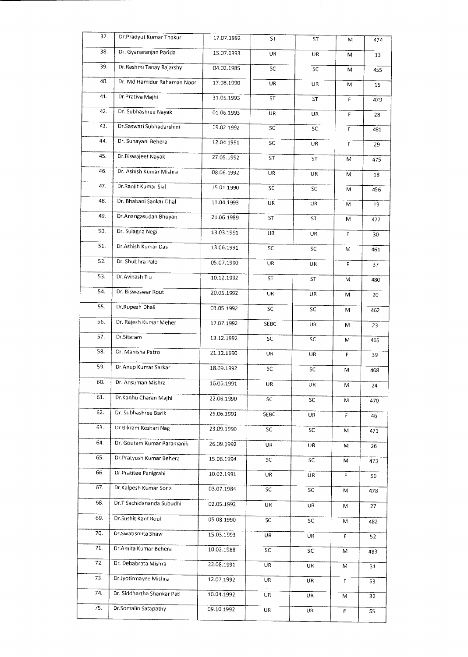| 37. | Dr.Pradyut Kumar Thakur     | 17.07.1992 | ST        | <b>ST</b> | Μ  | 474 |
|-----|-----------------------------|------------|-----------|-----------|----|-----|
| 38. | Dr. Gyanaranjan Parida      | 15.07.1993 | UR        | <b>UR</b> | M  | 13  |
| 39. | Dr.Rashmi Tanay Rajarshy    | 04.02.1985 | SC        | SC        | M  | 455 |
| 40. | Dr. Md Hamidur Rahaman Noor | 17.08.1990 | UR        | UR        | М  | 15  |
| 41. | Dr.Prativa Majhi            | 31.05.1993 | <b>ST</b> | <b>ST</b> | F  | 479 |
| 42. | Dr. Subhashree Nayak        | 01.06.1993 | <b>UR</b> | UR        | F  | 28  |
| 43. | Dr.Saswati Subhadarshini    | 19.02.1992 | SC        | SC        | F  | 481 |
| 44. | Dr. Sunayani Behera         | 12.04.1991 | SC        | UR        | F  | 29  |
| 45. | Dr.Biswajeet Nayak          | 27.05.1992 | ST        | ST        | M  | 475 |
| 46, | Dr. Ashish Kumar Mishra     | 08.06.1992 | UR        | UR        | M  | 18  |
| 47. | Dr.Ranjit Kumar Sial        | 15.01.1990 | SC        | SC        | M  | 456 |
| 48. | Dr. Bhabani Sankar Dhal     | 11.04.1993 | UR        | UR        | M  | 19  |
| 49, | Dr.Anangasudan Bhuyan       | 21.06.1989 | ST        | ST        | M  | 477 |
| 50. | Dr. Sulagna Negi            | 13.03.1991 | UR        | UR.       | F  | 30  |
| 51. | Dr.Ashish Kumar Das         | 13.06.1991 | SC        | SC        | М  | 461 |
| 52. | Dr. Shubhra Palo            | 05.07.1990 | UR        | UR        | F  | 37  |
| 53. | Dr.Avinash Tiu              | 10.12.1992 | <b>ST</b> | ST        | M  | 480 |
| 54. | Dr. Bisweswar Rout          | 20.05.1992 | <b>UR</b> | UR        | М  | 20  |
| 55. | Dr.Rupesh Dhali             | 03.05.1992 | SC        | SC        | Μ  | 462 |
| 56. | Dr. Rajesh Kumar Meher      | 17.07.1992 | SEBC      | UR        | М  | 23  |
| 57. | Dr.Sitaram                  | 13.12.1992 | SC        | SC        | Μ  | 465 |
| 58. | Dr. Manisha Patro           | 21.12.1990 | UR        | UR        | F  | 39  |
| 59. | Dr.Anup Kumar Sarkar        | 18.09.1992 | SC        | SC        | М  | 468 |
| 60. | Dr. Ansuman Mishra          | 16.06.1991 | UR        | UR        | M  | 24  |
| 61. | Dr.Kanhu Charan Maihi       | 22.06.1990 | SC        | SC        | М  | 470 |
| 62. | Dr. Subhashree Barik        | 25.06.1991 | SEBC      | UR.       | F  | 46  |
| 63. | Dr.Bikram Keshari Nag       | 23.09.1990 | SC        | SC        | M  | 471 |
| 64. | Dr. Goutam Kumar Paramanik  | 26.09.1992 | UR        | UR        | м  | 26  |
| 65. | Dr.Pratyush Kumar Behera    | 15.06.1994 | SC        | SC        | M  | 473 |
| 66. | Dr.Pratitee Panigrahi       | 10.02.1991 | UR        | UR        | F  | 50  |
| 67. | Dr.Kalpesh Kumar Sona       | 03.07.1984 | SC        | SC        | M  | 478 |
| 68. | Dr.T Sachidananda Subudhi   | 02.05.1992 | UR        | <b>UR</b> | М  | 27  |
| 69. | Dr.Sushit Kant Roul         | 05.08.1990 | SC.       | SC        | М  | 482 |
| 70. | Dr.Swatismita Shaw          | 15.03.1993 | UR.       | UR        | F. | 52  |
| 71. | Dr.Amita Kumar Behera       | 10.02.1988 | SC.       | SC        | M  | 483 |
| 72. | Dr. Debabrata Mishra        | 22.08.1991 | UR.       | UR        | М  | 31  |
| 73. | Dr.Jyotirmayee Mishra       | 12.07.1992 | UR        | UR.       | F  | 53  |
| 74. | Dr. Siddhartha Shankar Pati | 10.04.1992 | UR        | UR        | М  | 32  |
| 75. | Dr.Somalin Satapathy        | 09.10.1992 | UR        | UR        | F  | 55  |

 $\mathcal{F}_\mathrm{c}$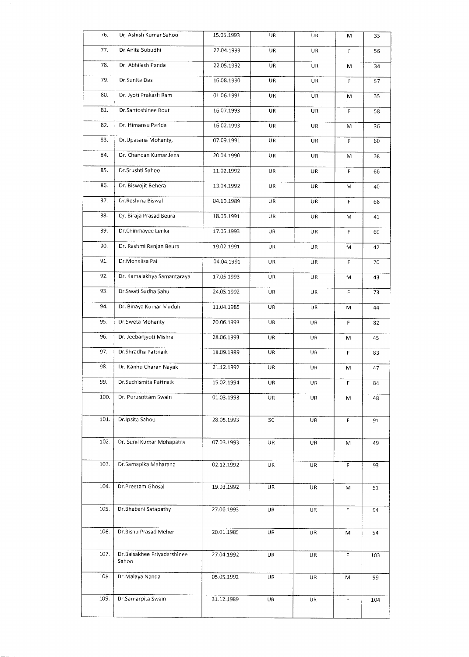| 76.  | Dr. Ashish Kumar Sahoo               | 15.05.1993 | UR        | UR        | м           | 33  |
|------|--------------------------------------|------------|-----------|-----------|-------------|-----|
| 77.  | Dr.Anita Subudhi                     | 27.04.1993 | <b>UR</b> | UR        | F           | 56  |
| 78.  | Dr. Abhilash Panda                   | 22.05.1992 | UR        | UR        | М           | 34  |
| 79.  | Dr.Sunita Das                        | 16.08.1990 | UR        | UR        | F           | 57  |
| 80.  | Dr. Jyoti Prakash Ram                | 01.06.1991 | UR        | UR        | M           | 35  |
| 81.  | Dr.Santoshinee Rout                  | 16.07.1993 | UR        | <b>UR</b> | F           | 58  |
| 82.  | Dr. Himansu Parida                   | 16.02.1993 | UR        | UR        | M           | 36  |
| 83.  | Dr.Upasana Mohanty,                  | 07.09.1991 | UR        | UR        | F           | 60  |
| 84.  | Dr. Chandan Kumar Jena               | 20.04.1990 | UR        | UR        | M           | 38  |
| 85.  | Dr.Srushti Sahoo                     | 11.02.1992 | UR        | UR        | $\mathsf F$ | 66  |
| 86.  | Dr. Biswojit Behera                  | 13.04.1992 | UR        | UR        | M           | 40  |
| 87.  | Dr.Reshma Biswal                     | 04.10.1989 | UR        | UR        | $\mathsf F$ | 68  |
| 88.  | Dr. Biraja Prasad Beura              | 18.06.1991 | UR        | UR        | M           | 41  |
| 89.  | Dr.Chinmayee Lenka                   | 17.05.1993 | UR        | UR        | $\mathsf F$ | 69  |
| 90.  | Dr. Rashmi Ranjan Beura              | 19.02.1991 | UR        | UR        | M           | 42  |
| 91.  | Dr. Monalisa Pal                     | 04.04.1991 | UR        | UR        | F           | 70  |
| 92.  | Dr. Kamalakhya Samantaraya           | 17.05.1993 | UR        | UR        | м           | 43  |
| 93.  | Dr. Swati Sudha Sahu                 | 24.05.1992 | UR        | UR        | F           | 73  |
| 94.  | Dr. Binaya Kumar Muduli              | 11.04.1985 | <b>UR</b> | UR        | M           | 44  |
| 95.  | Dr.Sweta Mohanty                     | 20.06.1993 | UR        | <b>UR</b> | F           | 82  |
| 96.  | Dr. Jeebanjyoti Mishra               | 28.06.1993 | UR        | UR        | M           | 45  |
| 97.  | Dr.Shradha Pattnaik                  | 18.09.1989 | UR        | UR        | F           | 83  |
| 98.  | Dr. Kanhu Charan Nayak               | 21.12.1992 | UR        | UR        | M           | 47  |
| 99.  | Dr.Suchismita Pattnaik               | 15.02.1994 | UR        | UR        | F           | 84  |
| 100. | Dr. Purusottam 5wain                 | 01.03.1993 | UR        | UR        | M           | 48  |
| 101. | Dr.Ipsita Sahoo                      | 28.05.1993 | SC        | UR        | F           | 91  |
|      |                                      |            |           |           |             |     |
| 102. | Dr. Sunil Kumar Mohapatra            | 07.03.1993 | <b>UR</b> | UR.       | M           | 49  |
| 103. | Dr.5amapika Maharana                 | 02.12.1992 | UR        | UR        | F           | 93  |
| 104. | Dr.Preetam Ghosal                    | 19.03.1992 | UR        |           |             |     |
|      |                                      |            |           | UR        | M           | 51  |
| 105. | Dr.Bhabani Satapathy                 | 27.06.1993 | <b>UR</b> | UR        | F           | 94  |
| 106. | Dr.Bisnu Prasad Meher                | 20.01.1985 | UR        | UR        | M           | 54  |
|      |                                      |            |           |           |             |     |
| 107. | Dr.Baisakhee Priyadarshinee<br>Sahoo | 27.04.1992 | UR        | UR        | F           | 103 |
| 108. | Dr. Malaya Nanda                     | 05.05.1992 | UR        | UR        | M           | 59  |
| 109. | Dr Samarpita Swain                   | 31.12.1989 | UR        | UR        | F           | 104 |
|      |                                      |            |           |           |             |     |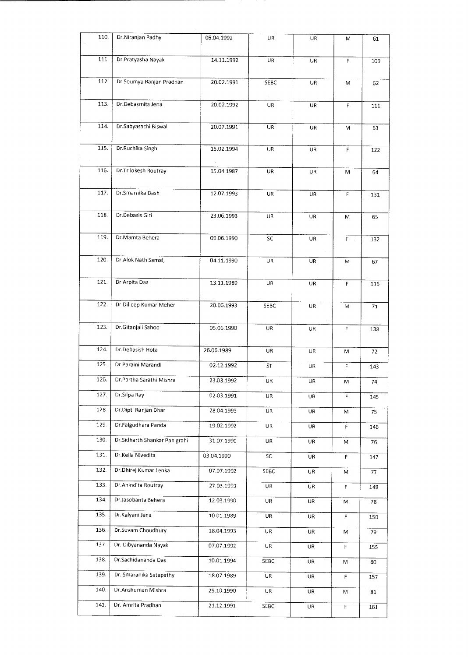| 110. | Dr.Niranjan Padhy             | 06.04.1992 | UR          | <b>UR</b> | M           | 61  |
|------|-------------------------------|------------|-------------|-----------|-------------|-----|
| 111. | Dr.Pratyasha Nayak            | 14.11.1992 | <b>UR</b>   | UR        | F           | 109 |
| 112. | Dr.Soumya Ranjan Pradhan      | 20.02.1991 | SEBC        | UR        | М           | 62  |
| 113. | Dr.Debasmita Jena             | 20.02.1992 | <b>UR</b>   | <b>UR</b> | F           | 111 |
| 114. | Dr.Sabyasachi Biswal          | 20.07.1991 | UR          | UR        | M           | 63  |
| 115. | Dr.Ruchika Singh              | 15.02.1994 | UR.         | <b>UR</b> | F           | 122 |
| 116. | Dr.Trilokesh Routray          | 15.04.1987 | UR.         | <b>UR</b> | м           | 64  |
| 117. | Dr.Smarnika Dash              | 12.07.1993 | UR          | <b>UR</b> | F           | 131 |
| 118. | Dr.Debasis Giri               | 23.06.1993 | UR          | UR        | M           | 65  |
| 119. | Dr.Mamta Behera               | 09.06.1990 | SC          | UR        | $\mathsf F$ | 132 |
| 120. | Dr.Alok Nath Samal,           | 04.11.1990 | UR          | UR        | M           | 67  |
| 121. | Dr.Arpita Das                 | 13.11.1989 | UR          | UR        | F           | 136 |
| 122. | Dr.Dilleep Kumar Meher        | 20.06.1993 | <b>SEBC</b> | UR        | M           | 71  |
| 123. | Dr.Gitanjali Sahoo            | 05.06.1990 | UR          | UR        | F           | 138 |
| 124. | Dr.Debasish Hota              | 26.06.1989 | UR          | <b>UR</b> | M           | 72  |
| 125. | Dr.Paraini Marandi            | 02.12.1992 | ST          | UR        | F           | 143 |
| 126. | Dr.Partha Sarathi Mishra      | 23.03.1992 | UR          | UR        | М           | 74  |
| 127. | Dr.Silpa Ray                  | 02.03.1991 | UR          | UR        | F           | 145 |
| 128. | Dr.Dipti Ranjan Dhar          | 28.04.1993 | <b>UR</b>   | UR        | М           | 75  |
| 129. | Dr.Falgudhara Panda           | 19.02.1992 | UR          | UR        | F.          | 146 |
| 130. | Dr.Sidharth Shankar Panigrahi | 31.07.1990 | UR          | UR        | М           | 76  |
| 131. | Dr.Kella Nivedita             | 03.04.1990 | ${\sf SC}$  | UR        | F           | 147 |
| 132. | Dr.Dhirej Kumar Lenka         | 07.07.1992 | SEBC        | UR        | М           | 77  |
| 133. | Dr. Anindita Routray          | 27.03.1993 | UR          | UR        | F           | 149 |
| 134. | Dr.Jasobanta Behera           | 12.03.1990 | UR          | UR        | M           | 78  |
| 135. | Dr.Kalyani Jena               | 10.01.1989 | UR          | UR        | F.          | 150 |
| 136. | Dr.Suvam Choudhury            | 18.04.1993 | <b>UR</b>   | UR        | M           | 79  |
| 137. | Dr. Dibyananda Nayak          | 07.07.1992 | <b>UR</b>   | UR        | F           | 155 |
| 138. | Dr.Sachidananda Das           | 10.01.1994 | 5EBC        | UR        | M           | 80  |
| 139. | Dr. Smaranika Satapathy       | 18.07.1989 | <b>UR</b>   | <b>UR</b> | F           | 157 |
| 140. | Dr.Anshuman Mishra            | 25.10.1990 | <b>UR</b>   | UR        | M           | 81  |
| 141. | Dr. Amrita Pradhan            | 21.12.1991 | SEBC        | UR        | $\mathsf F$ | 161 |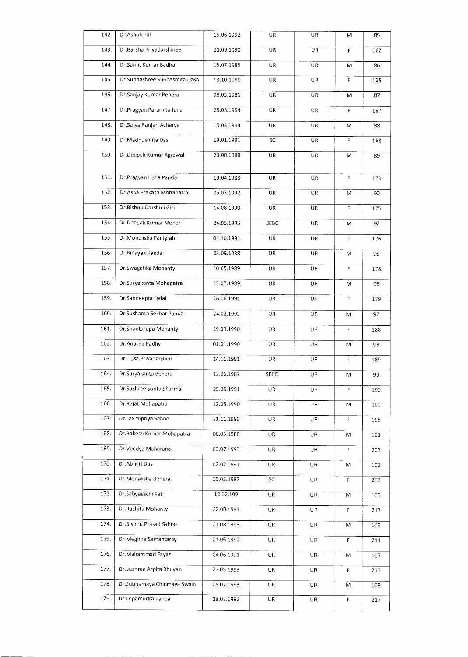| 142. | Dr.Ashok Pal                  | 15.06.1992 | UR        | UR  | M | 85  |
|------|-------------------------------|------------|-----------|-----|---|-----|
| 143. | Dr.Barsha Priyadarshinee      | 20.09.1990 | UR        | UR  | F | 162 |
| 144. | Dr.Samit Kumar Badhai         | 15.07.1985 | UR.       | UR  | M | 86  |
| 145. | Dr.Subhashree Subhasmita Dash | 13.10.1989 | UR.       | UR  | F | 165 |
| 146. | Dr.Sanjay Kumar Behera        | 08.03.1986 | UR        | UR  | M | 87  |
| 147. | Dr.Pragyan Paramita Jena      | 25.03.1994 | UR        | UR  | F | 167 |
| 148. | Dr. Satya Ranjan Acharya      | 19.03.1994 | <b>UR</b> | UR  | M | 88  |
| 149. | Dr.Madhusmita Das             | 19.01.1991 | SC        | UR  | F | 168 |
| 150. | Dr.Deepak Kumar Agrawal       | 28.08.1988 | UR        | UR  | M | 89  |
| 151. | Dr.Pragyan Lisha Panda        | 19.04.1988 | UR        | UR  | F | 173 |
| 152. | Dr.Asha Prakash Mohapatra     | 25.03.1992 | UR        | UR  | M | 90  |
| 153. | Dr.Bishnu Darshini Giri       | 14.08.1990 | UR        | UR  | F | 175 |
| 154. | Dr.Deepak Kumar Meher         | 24.05.1993 | SEBC      | UR  | M | 92  |
| 155. | Dr.Monalisha Panigrahi        | 01.10.1991 | UR        | UR  | F | 176 |
| 156. | Dr.Binayak Panda              | 03.09.1988 | UR        | UR  | M | 95  |
| 157. | Dr. Swagatika Mohanty         | 10.05.1989 | UR        | UR  | F | 178 |
| 158. | Dr.Suryakanta Mohapatra       | 12.07.1989 | UR        | UR  | м | 96  |
| 159. | Dr.Sandeepta Dalal            | 26.06.1991 | UR        | UR  | F | 179 |
| 160. | Dr.Sushanta Sekhar Panda      | 24.02.1993 | UR.       | UR. | M | 97  |
| 161. | Dr.Shantarupa Mohanty         | 19.03.1990 | UR        | UR  | F | 188 |
| 162. | Dr. Anurag Padhy              | 01.01.1990 | UR        | UR  | M | 98  |
| 163. | Dr.Lipsa Priyadarshini        | 14.11.1991 | UR.       | UR  | F | 189 |
| 164. | Dr.Suryakanta Behera          | 12.06.1987 | SEBC      | UR  | M | 99  |
| 165. | Dr.Sushree Sarita Sharma      | 25.05.1991 | UR        | UR  | F | 190 |
| 166. | Dr.Rajat Mohapatra            | 12.08.1990 | UR        | UR  | M | 100 |
| 167. | Dr.Laxmipriya Sahoo           | 21.11.1990 | UR        | UR  | F | 198 |
| 168. | Dr Rakesh Kumar Mohapatra     | 06.05.1988 | UR        | UR  | M | 101 |
| 169. | Dr.Veedya Maharana            | 03.07.1993 | UR        | UR  | F | 203 |
| 170. | Dr.Abhijit Das                | 02.02.1991 | UR        | UR  | M | 102 |
| 171. | Dr. Monalisha Behera          | 05.05.1987 | SC        | UR  | F | 208 |
| 172. | Dr.Sabyasachi Pati            | 12.02.199  | UR        | UR  | M | 105 |
| 173. | Dr. Rachita Mohanty           | 02.08.1991 | UR        | UR  | F | 213 |
| 174. | Dr.Bishnu Prasad Sahoo        | 01.08.1993 | UR        | UR  | M | 106 |
| 175. | Dr.Meghna Samantaray          | 21.06.1990 | UR        | UR  | F | 214 |
| 176. | Dr.Mahammad Fayaz             | 04.06.1991 | UR        | UR  | M | 107 |
| 177. | Dr.Sushree Arpita Bhuyan      | 27.05.1993 | UR        | UR  | F | 215 |
| 178. | Dr.Subhamaya Chinmaya Swain   | 05.07.1993 | UR        | UR  | M | 108 |
| 179. | Dr.Lopamudra Panda            | 18.02.1992 | UR        | UR  | F | 217 |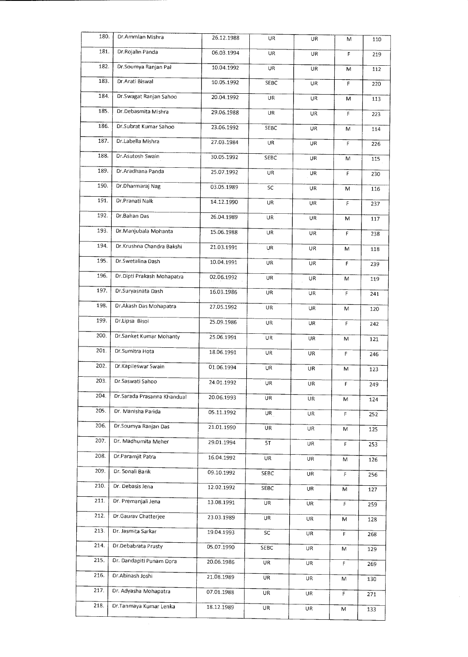| 180. | Dr.Ammlan Mishra            | 26.12.1988 | UR          | UR        | M           | 110 |  |
|------|-----------------------------|------------|-------------|-----------|-------------|-----|--|
| 181. | Dr.Rojalin Panda            | 06.03.1994 | UR          | UR.       | F           | 219 |  |
| 182. | Dr.Soumya Ranjan Pal        | 10.04.1992 | UR          | UR        | M           | 112 |  |
| 183. | Dr.Arati Biswal             | 10.05.1992 | SEBC        | UR        | F           | 220 |  |
| 184. | Dr.Swagat Ranjan Sahoo      | 20.04.1992 | UR          | UR        | м           | 113 |  |
| 185. | Dr.Debasmita Mishra         | 29.06.1988 | UR.         | UR        | F           | 223 |  |
| 186. | Dr.Subrat Kumar Sahoo       | 23.06.1992 | SEBC        | UR        | M           | 114 |  |
| 187. | Dr.Labella Mishra           | 27.03.1984 | <b>UR</b>   | UR        | F           | 226 |  |
| 188. | Dr.Asutosh Swain            | 30.05.1992 | SEBC        | UR        | M           | 115 |  |
| 189. | Dr. Aradhana Panda          | 25.07.1992 | UR.         | UR.       | F           | 230 |  |
| 190. | Dr.Dharmaraj Nag            | 03.05.1989 | SC          | UR.       | M           | 116 |  |
| 191. | Dr.Pranati Naik             | 14.12.1990 | <b>UR</b>   | UR.       | F           | 237 |  |
| 192. | Dr.Bahan Das                | 26.04.1989 | UR          | UR.       | M           | 117 |  |
| 193. | Dr.Manjubala Mohanta        | 15.06.1988 | UR          | UR        | $\mathsf F$ | 238 |  |
| 194. | Dr.Krushna Chandra Bakshi   | 21.03.1991 | UR          | UR        | M           | 118 |  |
| 195. | Dr.Swetalina Dash           | 10.04.1991 | UR          | UR        | F           | 239 |  |
| 196. | Dr.Dipti Prakash Mohapatra  | 02.06.1992 | UR.         | UR        | M           | 119 |  |
| 197. | Dr.Suryasnata Dash          | 16.03.1986 | UR          | UR        | $\mathsf F$ | 241 |  |
| 198. | Dr.Akash Das Mohapatra      | 27.05.1992 | UR          | UR        | M           | 120 |  |
| 199. | Dr.Lipsa Bisoi              | 25.09.1986 | UR          | UR        | F           | 242 |  |
| 200. | Dr.Sanket Kumar Mohanty     | 25.06.1991 | UR          | UR        | M           | 121 |  |
| 201. | Dr. Sumitra Hota            | 18.06.1991 | UR          | UR        | F           | 246 |  |
| 202. | Dr.Kapileswar Swain         | 01.06.1994 | <b>UR</b>   | UR        | M           | 123 |  |
| 203. | Dr.Saswati Sahoo            | 24.01.1992 | UR          | UR        | F           | 249 |  |
| 204. | Dr.Sarada Prasanna Khandual | 20.06.1993 | UR.         | UR        | M           | 124 |  |
| 205. | Dr. Manisha Parida          | 05.11.1992 | UR.         | UR        | F           | 252 |  |
| 206. | Dr.Soumya Ranjan Das        | 21.01.1990 | UR          | UR.       | M           | 125 |  |
| 207. | Dr. Madhumita Meher         | 29.01.1994 | 5T          | UR        | F           | 253 |  |
| 208. | Dr.Paramiit Patra           | 16.04.1992 | UR          | UR        | М           | 126 |  |
| 209. | Dr. 5onali Barik            | 09.10.1992 | <b>SEBC</b> | UR        | F           | 256 |  |
| 210. | Dr. Debasis Jena            | 12.02.1992 | SEBC        | <b>UR</b> | M           | 127 |  |
| 211  | Dr. Premanjali Jena         | 13.08.1991 | UR          | UR        | F.          | 259 |  |
| 212. | Dr.Gaurav Chatterjee        | 23.03.1989 | UR.         | <b>UR</b> | М           | 128 |  |
| 213. | Dr. Jasmita Sarkar          | 19.04.1993 | SC          | UR        | F           | 268 |  |
| 214. | Dr.Debabrata Prusty         | 05.07.1990 | SEBC        | UR        | M           | 129 |  |
| 215. | Dr. Dandapiti Punam Dora    | 20.06.1986 | UR          | UR        | F           | 269 |  |
| 216. | Dr.Abinash Joshi            | 21.08.1989 | <b>UR</b>   | UR        | M           | 130 |  |
| 217. | Dr. Adyasha Mohapatra       | 07.01.1988 | UR          | UR        | F           | 271 |  |
| 218. | Dr.Tanmaya Kumar Lenka      | 18.12.1989 | UR          | <b>UR</b> | M           | 133 |  |
|      |                             |            |             |           |             |     |  |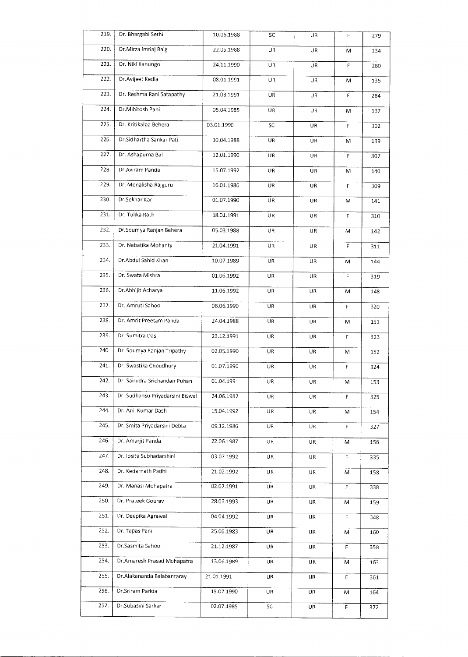| $-219.$ | Dr. Bhargabi Sethi               | 10.06.1988 | SC         | UR        | F           | 279 |
|---------|----------------------------------|------------|------------|-----------|-------------|-----|
| 220.    | Dr.Mirza Imtiaj Baig             | 22.05.1988 | UR         | UR        | M           | 134 |
| 221.    | Dr. Niki Kanungo                 | 24.11.1990 | UR         | UR        | F           | 280 |
| 222.    | Dr. Avijeet Kedia                | 08.01.1991 | UR         | UR        | M           | 135 |
| 223.    | Dr. Reshma Rani Satapathy        | 21.08.1991 | UR         | UR        | F           | 284 |
| 224.    | Dr.Mihitosh Pani                 | 05.04.1985 | UR         | UR        | M           | 137 |
| 225.    | Dr. Kritikalpa Behera            | 03.01.1990 | SC         | UR        | F           | 302 |
| 226.    | Dr.Sidhartha Sankar Pati         | 10.04.1988 | UR         | UR        | M           | 139 |
| 227.    | Dr. Ashapurna Bal                | 12.01.1990 | UR         | UR        | $\mathsf F$ | 307 |
| 228.    | Dr. Aviram Panda                 | 15.07.1992 | UR         | UR        | M           | 140 |
| 229.    | Dr. Monalisha Rajguru            | 16.01.1986 | UR         | UR        | F           | 309 |
| 230.    | Dr.Sekhar Kar                    | 01.07.1990 | UR         | UR        | M           | 141 |
| 231.    | Dr. Tulika Rath                  | 18.01.1991 | <b>UR</b>  | UR        | F           | 310 |
| 232.    | Dr. Soumya Ranjan Behera         | 05.03.1988 | UR         | UR        | M           | 142 |
| 233.    | Dr. Nabatika Mohanty             | 21.04.1991 | UR         | UR        | F           | 311 |
| 234.    | Dr.Abdul Sahid Khan              | 10.07.1989 | UR         | UR        | M           | 144 |
| 235.    | Dr. Swata Mishra                 | 01.06.1992 | UR         | UR        | F           | 319 |
| 236.    | Dr. Abhijit Acharya              | 11.06.1992 | UR         | UR        | M           | 148 |
| 237.    | Dr. Amruti Sahoo                 | 08.06.1990 | UR         | UR        | F           | 320 |
| 238.    | Dr. Amrit Preetam Panda          | 24.04.1988 | <b>UR</b>  | UR.       | M           | 151 |
| 239.    | Dr. Sumitra Das                  | 23.12.1991 | UR         | UR        | $\mathsf F$ | 323 |
| 240.    | Dr. Soumya Ranjan Tripathy       | 02.05.1990 | UR         | UR        | M           | 152 |
| 241.    | Dr. Swastika Choudhury           | 01.07.1990 | UR         | <b>UR</b> | F           | 324 |
| 242.    | Dr. Sairudra Srichandan Puhan    | 01.04.1991 | UR         | UR        | M           | 153 |
| 243.    | Dr. Sudhansu Priyadarsini Biswal | 24.06.1987 | UR         | UR        | F           | 325 |
| 244.    | Dr. Anil Kumar Dash              | 15.04.1992 | <b>UR</b>  | UR        | M           | 154 |
| 245.    | Dr. Smita Priyadarsini Debta     | 09.12.1986 | <b>UR</b>  | UR        | F           | 327 |
| 246.    | Dr. Amarjit Panda                | 22.06.1987 | <b>UR</b>  | UR        | M           | 156 |
| 247.    | Dr. Ipsita Subhadarshini         | 03.07.1992 | UR         | UR        | F           | 335 |
| 248.    | Dr. Kedarnath Padhi              | 21.02.1992 | UR         | UR        | М           | 158 |
| 249.    | Dr. Manasi Mohapatra             | 02.07.1991 | UR         | UR        | F           | 338 |
| 250.    | Dr. Prateek Gourav               | 28.03.1993 | UR         | UR        | M           | 159 |
| 251.    | Dr. Deepika Agrawal              | 04.04.1992 | UR         | UR        | F           | 348 |
| 252.    | Dr. Tapas Pani                   | 25.06.1983 | UR.        | UR        | M           | 160 |
| 253.    | Dr.Sasmita Sahoo                 | 21.12.1987 | UR         | UR.       | F           | 358 |
| 254.    | Dr.Amaresh Prasad Mohapatra      | 13.06.1989 | UR         | UR        | M           | 163 |
| 255.    | Dr.Alakananda Balabantaray       | 21.01.1991 | UR         | UR        | F           | 361 |
| 256.    | Dr. Sriram Parida                | 15.07.1990 | UR         | UR        | М           | 164 |
| 257.    | Dr.Subasini Sarkar               | 02.07.1985 | ${\sf SC}$ | UR        | F           | 372 |
|         |                                  |            |            |           |             |     |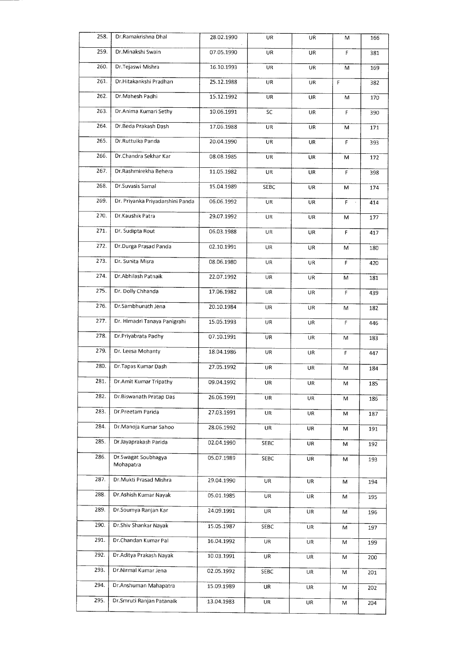| 258. | Dr.Ramakrishna Dhal              | 28.02.1990 | UR          | UR        | м            | 166 |
|------|----------------------------------|------------|-------------|-----------|--------------|-----|
| 259. | Dr.Minakshi Swain                | 07.05.1990 | UR          | UR        | F            | 381 |
| 260. | Dr. Tejaswi Mishra               | 16.10.1993 | UR          | UR        | M            | 169 |
| 261. | Dr.Hitakankshi Pradhan           | 25.12.1988 | UR          | UR        | F            | 382 |
| 262. | Dr.Mahesh Padhi                  | 15.12.1992 | UR          | UR        | M            | 170 |
| 263. | Dr.Anima Kumari Sethy            | 10.06.1991 | SC          | <b>UR</b> | $\mathsf{F}$ | 390 |
| 264. | Dr.Beda Prakash Dash             | 17.06.1988 | UR          | UR.       | М            | 171 |
| 265. | Dr.Ruttuika Panda                | 20.04.1990 | UR          | <b>UR</b> | F            | 393 |
| 266. | Dr.Chandra Sekhar Kar            | 08.08.1985 | UR          | UR        | M            | 172 |
| 267. | Dr.Rashmirekha Behera            | 11.05.1982 | UR          | UR        | F            | 398 |
| 268. | Dr.Suvasis Samal                 | 15.04.1989 | <b>SEBC</b> | UR        | M            | 174 |
| 269. | Dr. Priyanka Priyadarshini Panda | 06.06.1992 | UR          | UR        | F.           | 414 |
| 270. | Dr.Kaushik Patra                 | 29.07.1992 | UR          | UR.       | M            | 177 |
| 271. | Dr. Sudipta Rout                 | 06.03.1988 | UR          | UR        | F            | 417 |
| 272. | Dr.Durga Prasad Panda            | 02.10.1991 | UR          | UR        | M            | 180 |
| 273. | Dr. Sunita Misra                 | 08.06.1980 | UR          | UR        | F            | 420 |
| 274. | Dr.Abhilash Patnaik              | 22.07.1992 | UR          | UR        | M            | 181 |
| 275. | Dr. Dolly Chhanda                | 17.06.1982 | UR          | UR        | F            | 439 |
| 276. | Dr.Sambhunath Jena               | 20.10.1984 | UR          | UR        | M            | 182 |
| 277. | Dr. Himadri Tanaya Panigrahi     | 15.05.1993 | UR          | UR        | F            | 446 |
| 278. | Dr Priyabrata Padhy              | 07.10.1991 | UR          | UR        | M            | 183 |
| 279. | Dr. Leesa Mohanty                | 18.04.1986 | UR          | UR        | F            | 447 |
| 280. | Dr.Tapas Kumar Dash              | 27.05.1992 | UR          | UR        | M            | 184 |
| 281. | Dr.Amit Kumar Tripathy           | 09.04.1992 | UR          | UR        | M            | 185 |
| 282. | Dr.Biswanath Pratap Das          | 26.06.1991 | UR          | UR        | M            | 186 |
| 283. | Dr.Preetam Parida                | 27.03.1991 | UR.         | UR        | М            | 187 |
| 284. | Dr.Manoja Kumar Sahoo            | 28.06.1992 | UR          | UR        | M            | 191 |
| 285. | Dr.Jayaprakash Parida            | 02.04.1990 | SEBC        | UR        | м            | 192 |
| 286. | Dr.Swagat Soubhagya<br>Mohapatra | 05.07.1989 | SEBC        | UR        | M            | 193 |
| 287. | Dr.Mukti Prasad Mishra           | 29.04.1990 | <b>UR</b>   | UR        | M            | 194 |
| 288. | Dr. Ashish Kumar Nayak           | 05.01.1985 | <b>UR</b>   | UR        | М            | 195 |
| 289. | Dr.Soumya Ranjan Kar             | 24.09.1991 | UR          | UR        | М            | 196 |
| 290. | Dr.Shiv Shankar Nayak            | 15.05.1987 | SEBC        | <b>UR</b> | M            | 197 |
| 291. | Dr.Chandan Kumar Pal             | 16.04.1992 | UR          | UR        | М            | 199 |
| 292. | Dr.Aditya Prakash Nayak          | 10.03.1991 | UR          | UR        | М            | 200 |
| 293. | Dr.Nirmal Kumar Jena             | 02.05.1992 | SEBC        | UR        | M            | 201 |
| 294. | Dr.Anshuman Mahapatra            | 15.09.1989 | UR          | UR        | М            | 202 |
| 295. | Dr.Smruti Ranjan Patanaik        | 13.04.1983 | UR          | UR        | M            | 204 |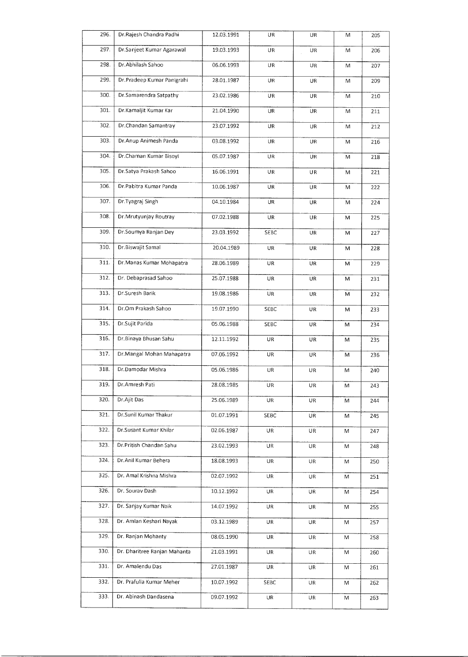| 296. | Dr.Rajesh Chandra Padhi      | 12.03.1991 | UR        | UR  | M | 205 |
|------|------------------------------|------------|-----------|-----|---|-----|
| 297. | Dr.Sanjeet Kumar Agarawal    | 19.03.1993 | UR        | UR  | M | 206 |
| 298. | Dr. Abhilash Sahoo           | 06.06.1993 | UR        | UR  | M | 207 |
| 299. | Dr.Pradeep Kumar Panigrahi   | 28.01.1987 | <b>UR</b> | UR  | M | 209 |
| 300. | Dr.Samarendra Satpathy       | 23.02.1986 | UR        | UR  | M | 210 |
| 301. | Dr.Kamaljit Kumar Kar        | 21.04.1990 | UR        | UR  | M | 211 |
| 302. | Dr.Chandan Samantray         | 23.07.1992 | UR        | UR  | M | 212 |
| 303. | Dr.Anup Animesh Panda        | 03.08.1992 | UR        | UR  | M | 216 |
| 304. | Dr.Chaman Kumar Bisoyi       | 05.07.1987 | UR        | UR  | M | 218 |
| 305. | Dr.Satya Prakash Sahoo       | 16.06.1991 | UR        | UR  | M | 221 |
| 306. | Dr.Pabitra Kumar Panda       | 10.06.1987 | UR        | UR  | M | 222 |
| 307. | Dr.Tyagraj Singh             | 04.10.1984 | UR        | UR  | M | 224 |
| 308. | Dr.Mrutyunjay Routray        | 07.02.1988 | UR        | UR  | M | 225 |
| 309. | Dr.Soumya Ranjan Dey         | 23.03.1992 | SEBC      | UR  | M | 227 |
| 310. | Dr.Biswajit Samal            | 20.04.1989 | UR        | UR  | M | 228 |
| 311. | Dr. Manas Kumar Mohapatra    | 28.06.1989 | UR        | UR  | M | 229 |
| 312. | Dr. Debaprasad Sahoo         | 25.07.1988 | UR        | UR  | M | 231 |
| 313. | Dr.Suresh Barik              | 19.08.1986 | UR        | UR  | M | 232 |
| 314. | Dr.Om Prakash Sahoo          | 19.07.1990 | SEBC      | UR  | M | 233 |
| 315. | Dr.Sujit Parida              | 05.06.1988 | SEBC      | UR  | M | 234 |
| 316. | Dr.Binaya Bhusan Sahu        | 12.11.1992 | UR        | UR  | M | 235 |
| 317. | Dr.Mangal Mohan Mahapatra    | 07.06.1992 | UR        | UR  | M | 236 |
| 318. | Dr.Damodar Mishra            | 05.06.1986 | UR        | UR  | M | 240 |
| 319. | Dr.Amresh Pati               | 28.08.1985 | UR        | UR  | M | 243 |
| 320. | Dr.Ajit Das                  | 25.06.1989 | UR        | UR  | M | 244 |
| 321. | Dr.Sunil Kumar Thakur        | 01.07.1991 | SEBC      | UR. | M | 245 |
| 322. | Dr.Susant Kumar Khilar       | 02.06.1987 | UR        | UR  | M | 247 |
| 323. | Dr.Pritish Chandan Sahu      | 23.02.1993 | UR        | UR  | M | 248 |
| 324. | Dr. Anil Kumar Behera        | 18.08.1993 | UR        | UR  | M | 250 |
| 325. | Dr. Amal Krishna Mishra      | 02.07.1992 | UR        | UR  | M | 251 |
| 326. | Dr. Sourav Dash              | 10.12.1992 | UR        | UR  | M | 254 |
| 327. | Dr. Sanjay Kumar Naik        | 14.07.1992 | UR        | UR  | M | 255 |
| 328. | Dr. Amlan Keshari Nayak      | 03.12.1989 | UR        | UR  | M | 257 |
| 329. | Dr. Ranjan Mohanty           | 08.05.1990 | UR        | UR  | M | 258 |
| 330. | Dr. Dharitree Ranjan Mahanta | 21.03.1991 | UR        | UR  | M | 260 |
| 331. | Dr. Amalendu Das             | 27.01.1987 | UR        | UR  | M | 261 |
| 332. | Dr. Prafulla Kumar Meher     | 10.07.1992 | SEBC      | UR  | M | 262 |
| 333. | Dr. Abinash Dandasena        | 09.07.1992 | UR        | UR  | M | 263 |
|      |                              |            |           |     |   |     |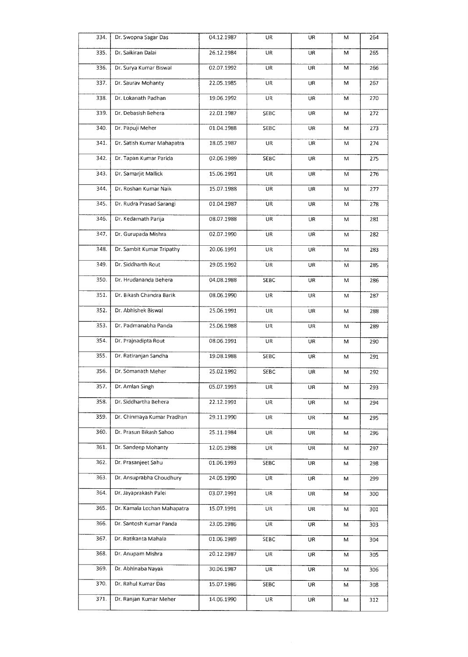| 334.              | Dr. Swopna Sagar Das        | 04.12.1987 | UR          | UR        | M         | 264 |
|-------------------|-----------------------------|------------|-------------|-----------|-----------|-----|
| 335.              | Dr. Saikiran Dalai          | 26.12.1984 | UR          | UR        | M         | 265 |
| 336.              | Dr. Surya Kumar Biswal      | 02.07.1992 | UR          | UR        | M         | 266 |
| 337.              | Dr. Saurav Mohanty          | 22.05.1985 | UR          | UR        | M         | 267 |
| 338.              | Dr. Lokanath Padhan         | 19.06.1992 | UR          | UR        | м         | 270 |
| 339.              | Dr. Debasish Behera         | 22.01.1987 | SEBC        | UR        | M         | 272 |
| 340.              | Dr. Papuji Meher            | 01.04.1988 | SEBC        | UR        | M         | 273 |
| 341.              | Dr. Satish Kumar Mahapatra  | 18.05.1987 | <b>UR</b>   | UR        | M         | 274 |
| 342.              | Dr. Tapan Kumar Parida      | 02.06.1989 | SEBC        | <b>UR</b> | M         | 275 |
| 343.              | Dr. Samarjit Mallick        | 15.06.1991 | UR          | UR        | M         | 276 |
| 344.              | Dr. Roshan Kumar Naik       | 15.07.1988 | UR          | UR        | M         | 277 |
| 345.              | Dr. Rudra Prasad Sarangi    | 01.04.1987 | UR          | <b>UR</b> | M         | 278 |
| 346.              | Dr. Kedarnath Parija        | 08.07.1988 | UR          | UR        | M         | 281 |
| 347.              | Dr. Gurupada Mishra         | 02.07.1990 | UR          | UR        | M         | 282 |
| 348.              | Dr. Sambit Kumar Tripathy   | 20.06.1991 | UR          | UR        | M         | 283 |
| 349.              | Dr. Siddharth Rout          | 29.05.1992 | UR          | UR        | M         | 285 |
| 350.              | Dr. Hrudananda Behera       | 04.08.1988 | SEBC        | UR        | M         | 286 |
| 351.              | Dr. Bikash Chandra Barik    | 08.06.1990 | UR          | UR        | M         | 287 |
| 352.              | Dr. Abhishek Biswal         | 25.06.1991 | UR          | UR        | M         | 288 |
| 353.              | Dr. Padmanabha Panda        | 25.06.1988 | UR          | UR        | M         | 289 |
| 354.              | Dr. Prajnadipta Rout        | 08.06.1991 | UR          | UR        | M         | 290 |
| 355.              | Dr. Ratiranjan Sandha       | 19.08.1988 | <b>SEBC</b> | UR        | M         | 291 |
| 356.              | Dr. Somanath Meher          | 25.02.1992 | SEBC        | UR        | м         | 292 |
| $\frac{1}{357}$ . | Dr. Amlan Singh             | 05.07.1993 | UR          | UR        | ${\sf M}$ | 293 |
| 358.              | Dr. Siddhartha Behera       | 22.12.1991 | UR          | UR        | M         | 294 |
| 359.              | Dr. Chinmaya Kumar Pradhan  | 29.11.1990 | UR          | UR        | M         | 295 |
| 360.              | Dr. Prasun Bikash Sahoo     | 25.11.1984 | UR          | UR        | M         | 296 |
| 361.              | Dr. Sandeep Mohanty         | 12.05.1988 | UR          | UR        | M         | 297 |
| 362.              | Dr. Prasanjeet Sahu         | 01.06.1993 | SEBC        | UR        | M         | 298 |
| 363.              | Dr. Ansuprabha Choudhury    | 24.05.1990 | UR          | UR        | М         | 299 |
| 364.              | Dr. Jayaprakash Palei       | 03.07.1991 | UR          | UR        | М         | 300 |
| 365.              | Dr. Kamala Lochan Mahapatra | 15.07.1991 | UR          | UR        | M         | 301 |
| 366.              | Dr. Santosh Kumar Panda     | 23.05.1986 | UR          | UR        | M         | 303 |
| 367.              | Dr. Ratikanta Mahala        | 01.06.1989 | SEBC        | UR        | M         | 304 |
| 368.              | Dr. Anupam Mishra           | 20.12.1987 | UR          | UR        | M         | 305 |
| 369.              | Dr. Abhinaba Nayak          | 30.06.1987 | UR          | UR        | M         | 306 |
| 370.              | Dr. Rahul Kumar Das         | 15.07.1986 | SEBC        | UR        | M         | 308 |
| 371.              | Dr. Ranjan Kumar Meher      | 14.06.1990 | UR          | UR        | Μ         | 312 |
|                   |                             |            |             |           |           |     |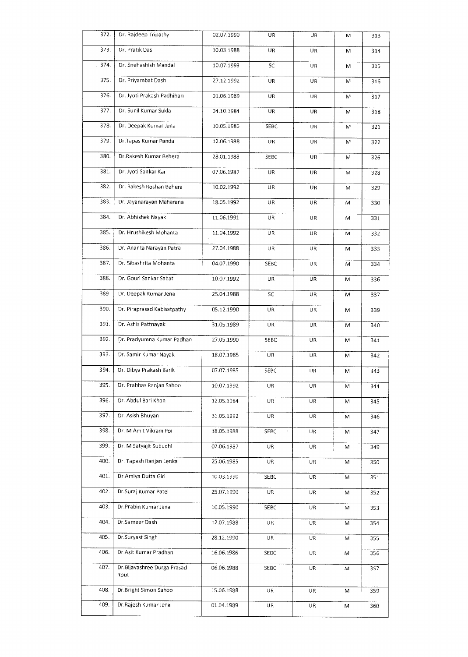| 372. | Dr. Rajdeep Tripathy                        | 02.07.1990 | UR       | UR        | M | 313 |
|------|---------------------------------------------|------------|----------|-----------|---|-----|
| 373. | Dr. Pratik Das                              | 10.03.1988 | UR       | UR        | M | 314 |
| 374. | Dr. Snehashish Mandal                       | 10.07.1993 | SC       | UR        | M | 315 |
| 375. | Dr. Priyambat Dash                          | 27.12.1992 | UR       | UR        | M | 316 |
| 376. | Dr. Jyoti Prakash Padhihari                 | 01.06.1989 | UR       | UR        | M | 317 |
| 377. | Dr. Sunil Kumar Sukla                       | 04.10.1984 | UR       | UR        | M | 318 |
| 378. | Dr. Deepak Kumar Jena                       | 10.05.1986 | SEBC     | UR        | M | 321 |
| 379. | Dr.Tapas Kumar Panda                        | 12.06.1988 | UR       | UR        | M | 322 |
| 380. | Dr.Rakesh Kumar Behera                      | 28.01.1988 | SEBC     | UR        | M | 326 |
| 381. | Dr. Jyoti Sankar Kar                        | 07.06.1987 | UR       | UR        | M | 328 |
| 382. | Dr. Rakesh Roshan Behera                    | 10.02.1992 | UR       | UR        | M | 329 |
| 383. | Dr. Jayanarayan Maharana                    | 18.05.1992 | UR       | UR        | M | 330 |
| 384. | Dr. Abhishek Nayak                          | 11.06.1991 | UR       | UR        | M | 331 |
| 385. | Dr. Hrushikesh Mohanta                      | 11.04.1992 | UR       | UR        | M | 332 |
| 386. | Dr. Ananta Narayan Patra                    | 27.04.1988 | UR       | UR        | M | 333 |
| 387. | Dr. 5ibashrita Mohanta                      | 04.07.1990 | SEBC     | UR        | M | 334 |
| 388. | Dr. Gouri Sankar Sabat                      | 10.07.1992 | UR       | UR        | M | 336 |
| 389. | Dr. Deepak Kumar Jena                       | 25.04.1988 | SC       | UR        | M | 337 |
| 390. | Dr. Piraprasad Kabisatpathy                 | 05.12.1990 | UR       | UR        | M | 339 |
| 391. | Dr. Ashis Pattnayak                         | 31.05.1989 | UR       | UR        | M | 340 |
| 392. | Dr. Pradyumna Kumar Padhan                  | 27.05.1990 | 5EBC     | UR        | M | 341 |
| 393. | Dr. Samir Kumar Nayak                       | 18.07.1985 | UR.      | UR        | M | 342 |
| 394. | Dr. Dibya Prakash Barik                     | 07.07.1985 | SEBC     | UR        | M | 343 |
| 395. | Dr. Prabhas Ranjan Sahoo                    | 10.07.1992 | UR       | UR        | M | 344 |
| 396. | Dr. Abdul Bari Khan                         | 12.05.1984 | UR<br>UR |           | M | 345 |
| 397. | Dr. Asish Bhuyan                            | 31.05.1992 | UR       | UR        | M | 346 |
| 398. | Dr. M Amit Vikram Poi                       | 18.05.1988 | SEBC     | UR        | м | 347 |
| 399. | Dr. M Satyajit Subudhi                      | 07.06.1987 | UR       | <b>UR</b> | M | 349 |
| 400. | Dr. Tapash Ranjan Lenka                     | 25.06.1985 | UR       | UR        | M | 350 |
| 401. | Dr.Amiya Dutta Giri                         | 10.03.1990 | SEBC     | UR        | M | 351 |
| 402. | Dr.Suraj Kumar Patel                        | 25.07.1990 | UR       | UR        | M | 352 |
| 403. | Dr.Prabin Kumar Jena                        | 10.05.1990 | 5EBC     | UR        | M | 353 |
| 404. | Dr.Sameer Dash                              | 12.07.1988 | UR       | UR        | M | 354 |
| 405. | Dr.Suryast Singh<br>28.12.1990<br>UR.<br>UR |            | M        | 355       |   |     |
| 406. | Dr.Asit Kumar Pradhan                       | 16.06.1986 | SEBC     | UR<br>M   |   | 356 |
| 407. | Dr. Bijayashree Durga Prasad<br>Rout        | 06.06.1988 | SEBC     | UR        | M | 3S7 |
| 408. | Dr.Bright Simon Sahoo                       | 15.06.1988 | UR       | UR        | M | 359 |
| 409. | Dr.Rajesh Kumar Jena                        | 01.04.1989 | UR       | <b>UR</b> | М | 360 |
|      |                                             |            |          |           |   |     |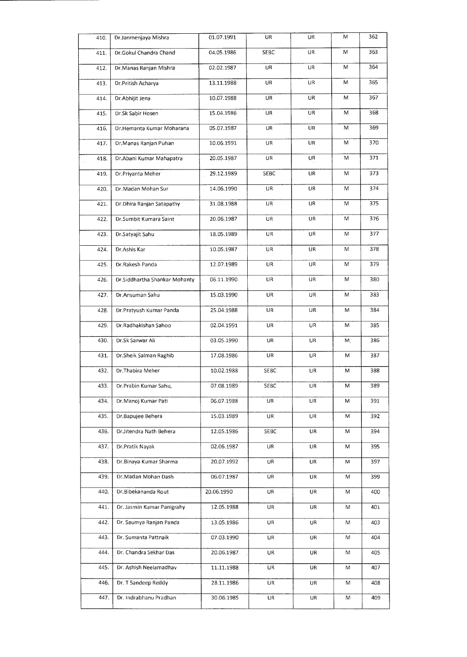| 410. | Dr.Janmenjaya Mishra          | 01.07.1991             | UR          | UR        | M         | 362 |
|------|-------------------------------|------------------------|-------------|-----------|-----------|-----|
| 411. | Dr.Gokul Chandra Chand        | 04.05.1986             | <b>SEBC</b> | <b>UR</b> | M         | 363 |
| 412. | Dr. Manas Ranjan Mishra       | 02.02.1987             | UR          | UR        | M         | 364 |
| 413. | Dr.Pritish Acharya            | 13.11.1988             | <b>UR</b>   | UR        | M         | 365 |
| 414. | Dr.Abhijit Jena               | 10.07.1988             | UR          | UR        | M         | 367 |
| 415. | Dr.Sk Sabir Hosen             | 15.04.1986             | UR.         | UR        | M         | 368 |
| 416. | Dr.Hemanta Kumar Moharana     | 05.07.1987             | UR          | UR        | M         | 369 |
| 417. | Dr. Manas Ranjan Puhan        | 10.06.1991             | UR          | UR        | M         | 370 |
| 418. | Dr.Abani Kumar Mahapatra      | 20.05.1987             | UR.         | UR        | M         | 371 |
| 419. | Dr.Priyanta Meher             | 29.12.1989             | SEBC        | UR        | M         | 373 |
| 420. | Dr.Madan Mohan Sur            | 14.06.1990             | UR          | UR        | M         | 374 |
| 421. | Dr. Dhira Ranjan Satapathy    | UR<br>31.08.1988       |             |           | M         | 375 |
| 422. | Dr.Sumbit Kumara Saint        | 20.06.1987             | UR          | UR        | M         | 376 |
| 423. | Dr.Satyajit Sahu              | 18.05.1989             | UR          | UR        | M         | 377 |
| 424. | Dr.Ashis Kar                  | 10.05.1987             | UR          | UR        | Μ         | 378 |
| 425. | Dr.Rakesh Panda               | 12.07.1989             | UR          | UR        | M         | 379 |
| 426. | Dr.Siddhartha Shankar Mohanty | 06.11.1990             | UR.         | UR.       | M         | 380 |
| 427. | Dr.Ansuman Sahu               | 15.03.1990             | UR          | UR        | M         | 383 |
| 428. | Dr.Pratyush Kumar Panda       | 25.04.1988             | UR.         | UR        | M         | 384 |
| 429. | Dr.Radhakishan Sahoo          | 02.04.1991             | UR          | <b>UR</b> | M         | 385 |
| 430. | Dr.Sk Sarwar Ali              | 03.05.1990             | UR          | UR        | Μ.        | 386 |
| 431. | Dr.Sheik Salman Raghib        | 17.08.1986             | UR          | UR        | M         | 387 |
| 432. | Dr.Thabira Meher              | 10.02.1988             | SEBC<br>UR  |           | Μ         | 388 |
| 433. | Dr.Prabin Kumar Sahu,         | 07.08.1989             | SEBC        | UR        | ${\sf M}$ | 389 |
| 434. | Dr.Manoj Kumar Pati           | 06.07.1988             | UR          | UR        | Μ         | 391 |
| 435. | Dr.Bapujee Behera             | 15.03.1989             | UR          | UR        | M         | 392 |
| 436. | Dr.Jitendra Nath Behera       | 12.05.1986             | SEBC        | UR        | Μ         | 394 |
| 437. | Dr.Pratik Nayak               | 02.06.1987             | UR          | UR        | Μ         | 395 |
| 438. | Dr.Binaya Kumar Sharma        | 20.07.1992             | UR          | UR        | M         | 397 |
| 439. | Dr.Madan Mohan Dash           | 06.07.1987             | UR          | UR        | M         | 399 |
| 440. | Dr. Bibekananda Rout          | 20.06.1990             | UR          | UR        | Μ         | 400 |
| 441. | Dr. Jasmin Kumar Panigrahy    | 12.05.1988             | UR          | UR        | Μ         | 401 |
| 442. | Dr. Saumya Ranjan Panda       | 13.05.1986             | UR          | UR        | Μ         | 403 |
| 443. | Dr. Sumanta Pattnaik          | 07.03.1990             | UR          | UR<br>Μ   |           | 404 |
| 444. | Dr. Chandra Sekhar Das        | 20.06.1987<br>UR<br>UR |             | Μ         | 405       |     |
| 445. | Dr. Ashish Neelamadhav        | 11.11.1988<br>UR<br>UR |             | M         | 407       |     |
| 446. | Dr. T Sandeep Reddy           | 28.11.1986             | UR          | UR        | M         | 408 |
| 447. | Dr. Indrabhanu Pradhan        | 30.06.1985             | UR          | UR        | M         | 409 |
|      |                               |                        |             |           |           |     |